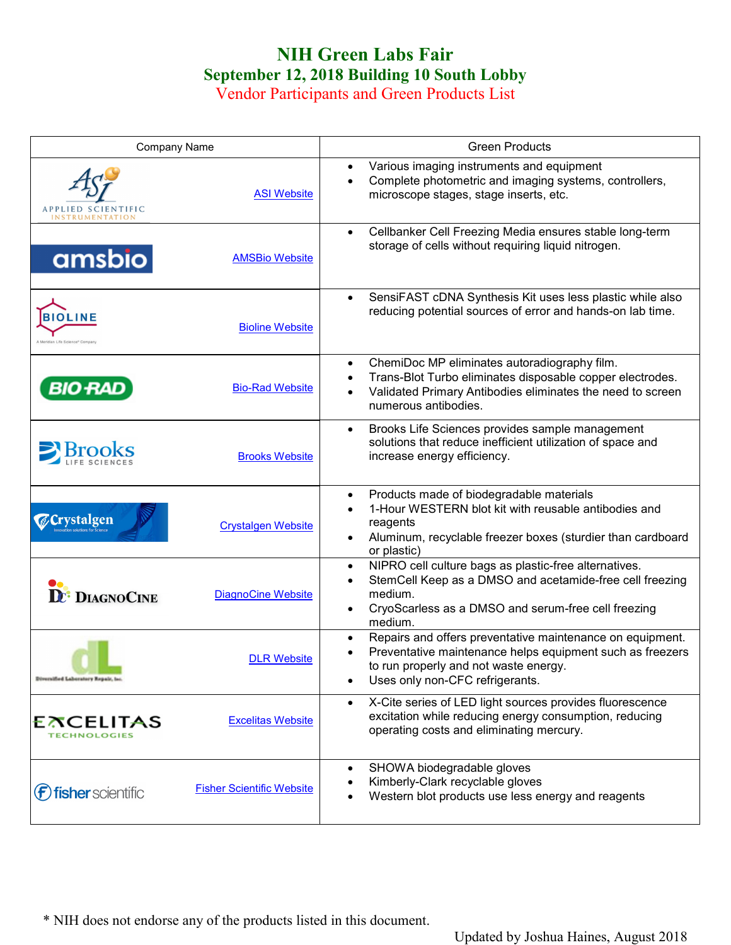## **NIH Green Labs Fair September 12, 2018 Building 10 South Lobby**

Vendor Participants and Green Products List

| Company Name                                                       | <b>Green Products</b>                                                                                                                                                                                                                  |
|--------------------------------------------------------------------|----------------------------------------------------------------------------------------------------------------------------------------------------------------------------------------------------------------------------------------|
| <b>ASI Website</b><br>APPLIED SCIENTIFIC<br><b>INSTRUMENTATION</b> | Various imaging instruments and equipment<br>Complete photometric and imaging systems, controllers,<br>$\bullet$<br>microscope stages, stage inserts, etc.                                                                             |
| amsbio<br><b>AMSBio Website</b>                                    | Cellbanker Cell Freezing Media ensures stable long-term<br>$\bullet$<br>storage of cells without requiring liquid nitrogen.                                                                                                            |
| <b>BIOLINE</b><br><b>Bioline Website</b>                           | SensiFAST cDNA Synthesis Kit uses less plastic while also<br>$\bullet$<br>reducing potential sources of error and hands-on lab time.                                                                                                   |
| <b>BIO RAD</b><br><b>Bio-Rad Website</b>                           | ChemiDoc MP eliminates autoradiography film.<br>$\bullet$<br>Trans-Blot Turbo eliminates disposable copper electrodes.<br>$\bullet$<br>Validated Primary Antibodies eliminates the need to screen<br>$\bullet$<br>numerous antibodies. |
| $\sum$ Brooks<br><b>Brooks Website</b>                             | Brooks Life Sciences provides sample management<br>$\bullet$<br>solutions that reduce inefficient utilization of space and<br>increase energy efficiency.                                                                              |
| <b><i>Crystalgen</i></b><br><b>Crystalgen Website</b>              | Products made of biodegradable materials<br>$\bullet$<br>1-Hour WESTERN blot kit with reusable antibodies and<br>reagents<br>Aluminum, recyclable freezer boxes (sturdier than cardboard<br>$\bullet$<br>or plastic)                   |
| <b>DE: DIAGNOCINE</b><br><b>DiagnoCine Website</b>                 | NIPRO cell culture bags as plastic-free alternatives.<br>$\bullet$<br>StemCell Keep as a DMSO and acetamide-free cell freezing<br>medium.<br>CryoScarless as a DMSO and serum-free cell freezing<br>$\bullet$<br>medium.               |
| <b>DLR Website</b><br>Diversified Laboratory Repair, Inc.          | Repairs and offers preventative maintenance on equipment.<br>$\bullet$<br>Preventative maintenance helps equipment such as freezers<br>to run properly and not waste energy.<br>Uses only non-CFC refrigerants.                        |
| <b>EXCELITAS</b><br><b>Excelitas Website</b><br>TECHNOLOGIES       | X-Cite series of LED light sources provides fluorescence<br>$\bullet$<br>excitation while reducing energy consumption, reducing<br>operating costs and eliminating mercury.                                                            |
| <b>Fisher Scientific Website</b><br>fisher scientific              | SHOWA biodegradable gloves<br>$\bullet$<br>Kimberly-Clark recyclable gloves<br>Western blot products use less energy and reagents                                                                                                      |

\* NIH does not endorse any of the products listed in this document.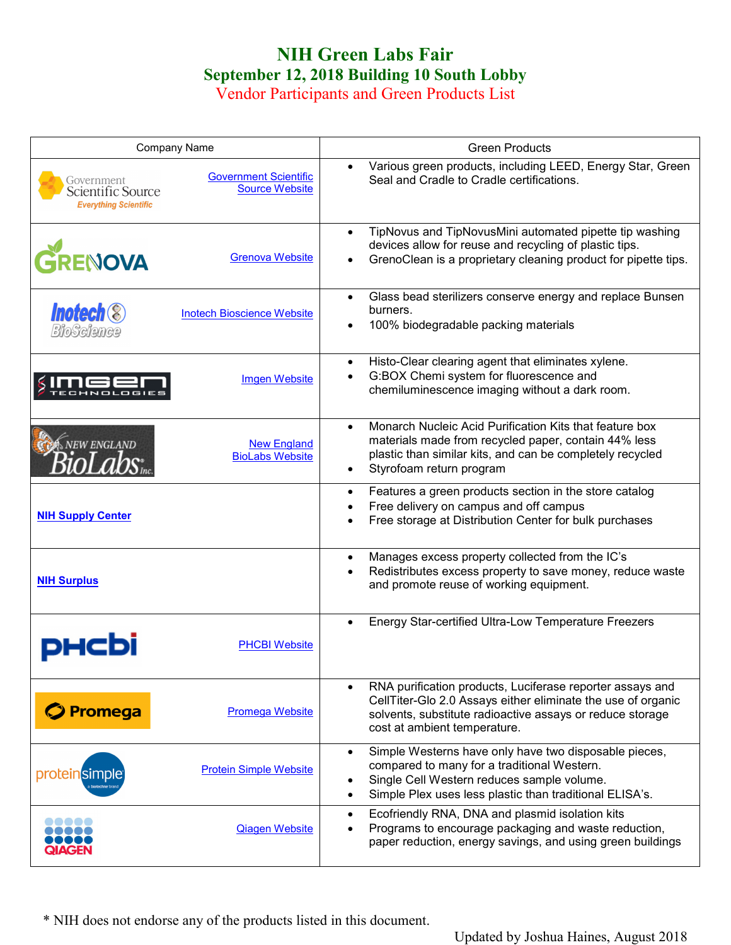## **NIH Green Labs Fair September 12, 2018 Building 10 South Lobby**

Vendor Participants and Green Products List

|                                                                 | <b>Company Name</b>                                   | <b>Green Products</b>                                                                                                                                                                                                                   |
|-----------------------------------------------------------------|-------------------------------------------------------|-----------------------------------------------------------------------------------------------------------------------------------------------------------------------------------------------------------------------------------------|
| Government<br>Scientific Source<br><b>Everything Scientific</b> | <b>Government Scientific</b><br><b>Source Website</b> | Various green products, including LEED, Energy Star, Green<br>Seal and Cradle to Cradle certifications.                                                                                                                                 |
| GRENOVA                                                         | <b>Grenova Website</b>                                | TipNovus and TipNovusMini automated pipette tip washing<br>devices allow for reuse and recycling of plastic tips.<br>GrenoClean is a proprietary cleaning product for pipette tips.                                                     |
| <b>Inotech<sup>®</sup></b><br>BioScience                        | <b>Inotech Bioscience Website</b>                     | Glass bead sterilizers conserve energy and replace Bunsen<br>burners.<br>100% biodegradable packing materials                                                                                                                           |
|                                                                 | <b>Imgen Website</b>                                  | Histo-Clear clearing agent that eliminates xylene.<br>G:BOX Chemi system for fluorescence and<br>chemiluminescence imaging without a dark room.                                                                                         |
| NEW ENGLAND                                                     | <b>New England</b><br><b>BioLabs Website</b>          | Monarch Nucleic Acid Purification Kits that feature box<br>$\bullet$<br>materials made from recycled paper, contain 44% less<br>plastic than similar kits, and can be completely recycled<br>Styrofoam return program                   |
| <b>NIH Supply Center</b>                                        |                                                       | Features a green products section in the store catalog<br>$\bullet$<br>Free delivery on campus and off campus<br>Free storage at Distribution Center for bulk purchases                                                                 |
| <b>NIH Surplus</b>                                              |                                                       | Manages excess property collected from the IC's<br>Redistributes excess property to save money, reduce waste<br>and promote reuse of working equipment.                                                                                 |
|                                                                 | <b>PHCBI Website</b>                                  | Energy Star-certified Ultra-Low Temperature Freezers                                                                                                                                                                                    |
| <b>Promega</b>                                                  | <b>Promega Website</b>                                | RNA purification products, Luciferase reporter assays and<br>CellTiter-Glo 2.0 Assays either eliminate the use of organic<br>solvents, substitute radioactive assays or reduce storage<br>cost at ambient temperature.                  |
| proteinsimple                                                   | <b>Protein Simple Website</b>                         | Simple Westerns have only have two disposable pieces,<br>$\bullet$<br>compared to many for a traditional Western.<br>Single Cell Western reduces sample volume.<br>Simple Plex uses less plastic than traditional ELISA's.<br>$\bullet$ |
| $\bullet$ $\bullet$ $\bullet$<br><b>QIAGEN</b>                  | <b>Qiagen Website</b>                                 | Ecofriendly RNA, DNA and plasmid isolation kits<br>$\bullet$<br>Programs to encourage packaging and waste reduction,<br>paper reduction, energy savings, and using green buildings                                                      |

\* NIH does not endorse any of the products listed in this document.